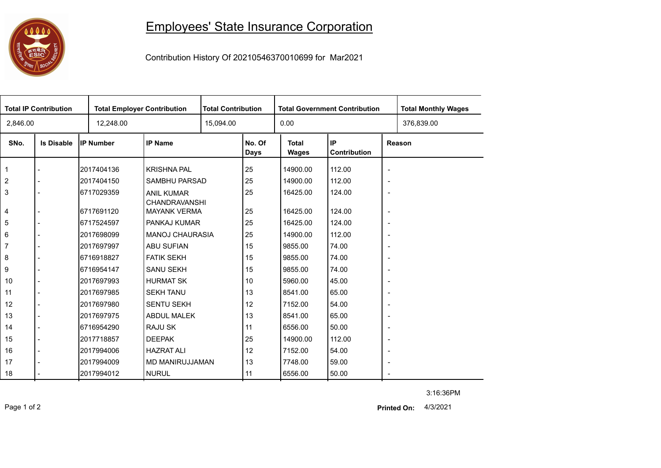## 0000

## Employees' State Insurance Corporation

Contribution History Of 20210546370010699 for Mar2021

| <b>Total IP Contribution</b> |                   |                  | <b>Total Employer Contribution</b>          |           | <b>Total Contribution</b> |                       | <b>Total Government Contribution</b> | <b>Total Monthly Wages</b> |            |  |
|------------------------------|-------------------|------------------|---------------------------------------------|-----------|---------------------------|-----------------------|--------------------------------------|----------------------------|------------|--|
| 2,846.00                     |                   | 12,248.00        |                                             | 15,094.00 |                           | 0.00                  |                                      |                            | 376,839.00 |  |
| SNo.                         | <b>Is Disable</b> | <b>IP Number</b> | <b>IP Name</b>                              |           | No. Of<br>Days            | <b>Total</b><br>Wages | IP<br>Contribution                   | Reason                     |            |  |
| $\mathbf 1$                  |                   | 2017404136       | <b>KRISHNA PAL</b>                          |           | 25                        | 14900.00              | 112.00                               | $\blacksquare$             |            |  |
| 2                            |                   | 2017404150       | SAMBHU PARSAD                               |           | 25                        | 14900.00              | 112.00                               | $\overline{\phantom{a}}$   |            |  |
| 3                            |                   | 6717029359       | <b>ANIL KUMAR</b>                           |           | 25                        | 16425.00              | 124.00                               | $\overline{\phantom{a}}$   |            |  |
| 4                            |                   | 6717691120       | <b>CHANDRAVANSHI</b><br><b>MAYANK VERMA</b> |           | 25                        | 16425.00              | 124.00                               | $\blacksquare$             |            |  |
| 5                            |                   | 6717524597       | PANKAJ KUMAR                                |           | 25                        | 16425.00              | 124.00                               | $\overline{\phantom{a}}$   |            |  |
| 6                            |                   | 2017698099       | <b>MANOJ CHAURASIA</b>                      |           | 25                        | 14900.00              | 112.00                               | $\overline{\phantom{a}}$   |            |  |
| 7                            |                   | 2017697997       | <b>ABU SUFIAN</b>                           |           | 15                        | 9855.00               | 74.00                                | $\overline{\phantom{a}}$   |            |  |
| 8                            |                   | 6716918827       | <b>FATIK SEKH</b>                           |           | 15                        | 9855.00               | 74.00                                | $\overline{\phantom{a}}$   |            |  |
| 9                            | $\blacksquare$    | 6716954147       | <b>SANU SEKH</b>                            |           | 15                        | 9855.00               | 74.00                                | $\overline{\phantom{a}}$   |            |  |
| 10                           | $\overline{a}$    | 2017697993       | <b>HURMAT SK</b>                            |           | 10                        | 5960.00               | 45.00                                | $\blacksquare$             |            |  |
| 11                           | $\blacksquare$    | 2017697985       | <b>SEKH TANU</b>                            |           | 13                        | 8541.00               | 65.00                                | $\overline{\phantom{a}}$   |            |  |
| 12                           |                   | 2017697980       | <b>SENTU SEKH</b>                           |           | 12                        | 7152.00               | 54.00                                | $\overline{\phantom{a}}$   |            |  |
| 13                           | $\blacksquare$    | 2017697975       | <b>ABDUL MALEK</b>                          |           | 13                        | 8541.00               | 65.00                                | $\overline{\phantom{a}}$   |            |  |
| 14                           |                   | 6716954290       | <b>RAJU SK</b>                              |           | 11                        | 6556.00               | 50.00                                | $\overline{\phantom{a}}$   |            |  |
| 15                           | $\overline{a}$    | 2017718857       | <b>DEEPAK</b>                               |           | 25                        | 14900.00              | 112.00                               | $\blacksquare$             |            |  |
| 16                           |                   | 2017994006       | <b>HAZRAT ALI</b>                           |           | 12                        | 7152.00               | 54.00                                | $\overline{\phantom{a}}$   |            |  |
| 17                           |                   | 2017994009       | MD MANIRUJJAMAN                             |           | 13                        | 7748.00               | 59.00                                | $\overline{\phantom{a}}$   |            |  |
| 18                           |                   | 2017994012       | <b>NURUL</b>                                |           | 11                        | 6556.00               | 50.00                                | $\sim$                     |            |  |

3:16:36PM